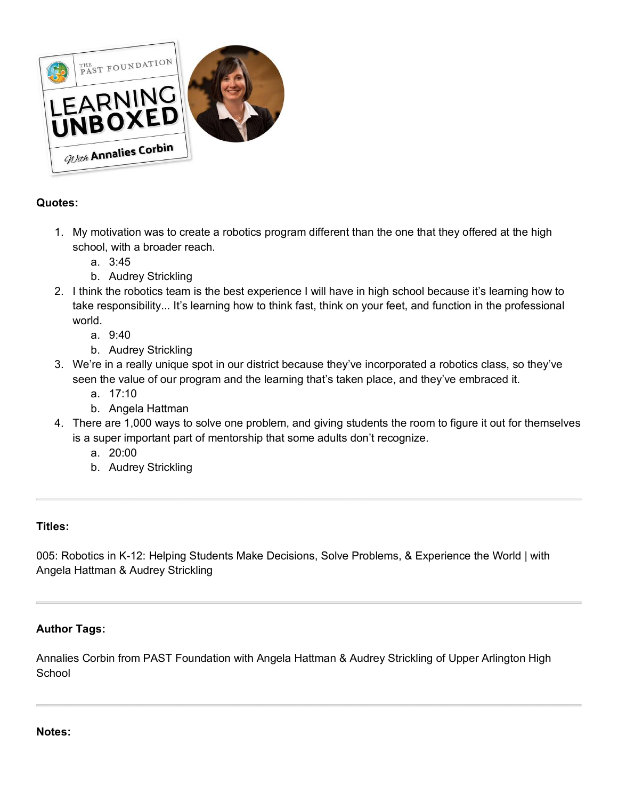

# **Quotes:**

- 1. My motivation was to create a robotics program different than the one that they offered at the high school, with a broader reach.
	- a. 3:45
	- b. Audrey Strickling
- 2. I think the robotics team is the best experience I will have in high school because it's learning how to take responsibility... It's learning how to think fast, think on your feet, and function in the professional world.
	- a. 9:40
	- b. Audrey Strickling
- 3. We're in a really unique spot in our district because they've incorporated a robotics class, so they've seen the value of our program and the learning that's taken place, and they've embraced it.
	- a. 17:10
	- b. Angela Hattman
- 4. There are 1,000 ways to solve one problem, and giving students the room to figure it out for themselves is a super important part of mentorship that some adults don't recognize.
	- a. 20:00
	- b. Audrey Strickling

## **Titles:**

005: Robotics in K-12: Helping Students Make Decisions, Solve Problems, & Experience the World | with Angela Hattman & Audrey Strickling

## **Author Tags:**

Annalies Corbin from PAST Foundation with Angela Hattman & Audrey Strickling of Upper Arlington High **School** 

### **Notes:**